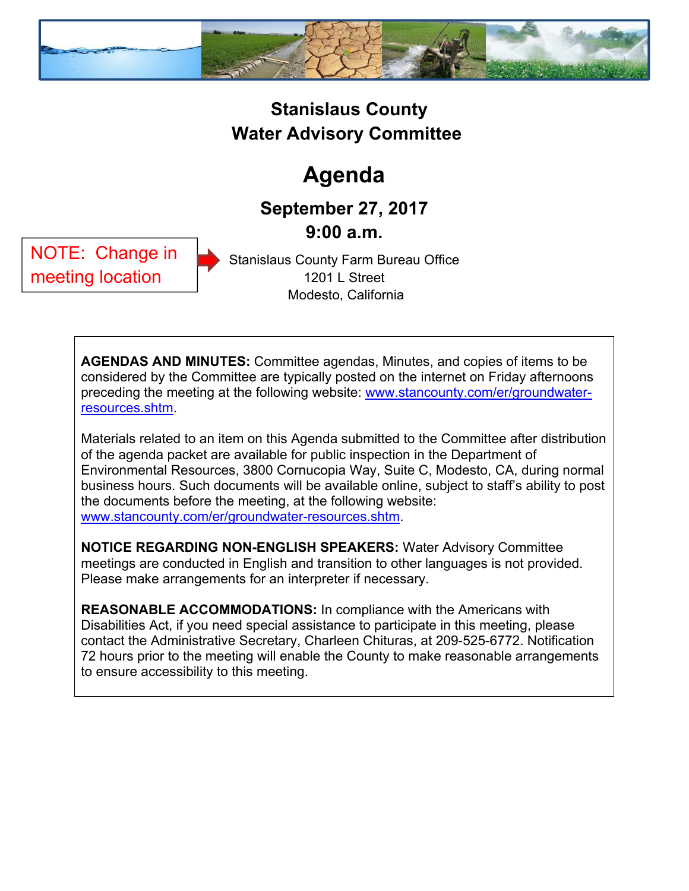

### **Stanislaus County Water Advisory Committee**

# **Agenda**

## **September 27, 2017 9:00 a.m.**

NOTE: Change in meeting location

Stanislaus County Farm Bureau Office 1201 L Street Modesto, California

**AGENDAS AND MINUTES:** Committee agendas, Minutes, and copies of items to be considered by the Committee are typically posted on the internet on Friday afternoons preceding the meeting at the following website: www.stancounty.com/er/groundwaterresources.shtm.

Materials related to an item on this Agenda submitted to the Committee after distribution of the agenda packet are available for public inspection in the Department of Environmental Resources, 3800 Cornucopia Way, Suite C, Modesto, CA, during normal business hours. Such documents will be available online, subject to staff's ability to post the documents before the meeting, at the following website: www.stancounty.com/er/groundwater-resources.shtm.

**NOTICE REGARDING NON-ENGLISH SPEAKERS:** Water Advisory Committee meetings are conducted in English and transition to other languages is not provided. Please make arrangements for an interpreter if necessary.

**REASONABLE ACCOMMODATIONS:** In compliance with the Americans with Disabilities Act, if you need special assistance to participate in this meeting, please contact the Administrative Secretary, Charleen Chituras, at 209-525-6772. Notification 72 hours prior to the meeting will enable the County to make reasonable arrangements to ensure accessibility to this meeting.